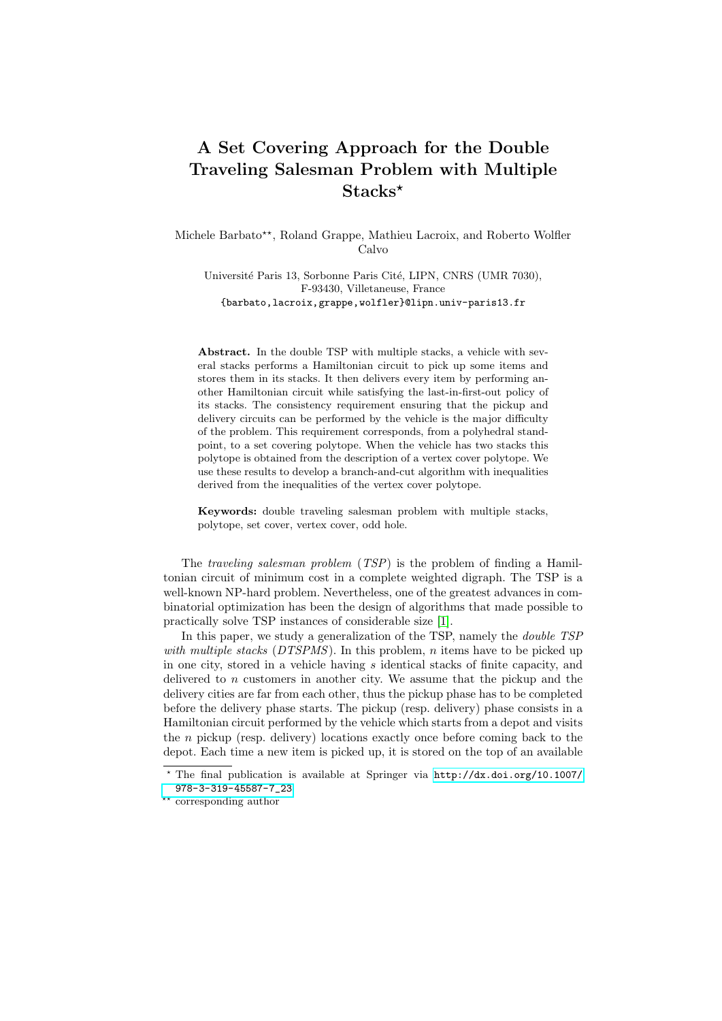# A Set Covering Approach for the Double Traveling Salesman Problem with Multiple Stacks<sup>\*</sup>

Michele Barbato\*\*, Roland Grappe, Mathieu Lacroix, and Roberto Wolfler Calvo

Université Paris 13, Sorbonne Paris Cité, LIPN, CNRS (UMR 7030), F-93430, Villetaneuse, France {barbato,lacroix,grappe,wolfler}@lipn.univ-paris13.fr

Abstract. In the double TSP with multiple stacks, a vehicle with several stacks performs a Hamiltonian circuit to pick up some items and stores them in its stacks. It then delivers every item by performing another Hamiltonian circuit while satisfying the last-in-first-out policy of its stacks. The consistency requirement ensuring that the pickup and delivery circuits can be performed by the vehicle is the major difficulty of the problem. This requirement corresponds, from a polyhedral standpoint, to a set covering polytope. When the vehicle has two stacks this polytope is obtained from the description of a vertex cover polytope. We use these results to develop a branch-and-cut algorithm with inequalities derived from the inequalities of the vertex cover polytope.

Keywords: double traveling salesman problem with multiple stacks, polytope, set cover, vertex cover, odd hole.

The traveling salesman problem (TSP) is the problem of finding a Hamiltonian circuit of minimum cost in a complete weighted digraph. The TSP is a well-known NP-hard problem. Nevertheless, one of the greatest advances in combinatorial optimization has been the design of algorithms that made possible to practically solve TSP instances of considerable size [\[1\]](#page-9-0).

In this paper, we study a generalization of the TSP, namely the *double TSP* with multiple stacks (DTSPMS). In this problem, n items have to be picked up in one city, stored in a vehicle having s identical stacks of finite capacity, and delivered to n customers in another city. We assume that the pickup and the delivery cities are far from each other, thus the pickup phase has to be completed before the delivery phase starts. The pickup (resp. delivery) phase consists in a Hamiltonian circuit performed by the vehicle which starts from a depot and visits the  $n$  pickup (resp. delivery) locations exactly once before coming back to the depot. Each time a new item is picked up, it is stored on the top of an available

<sup>?</sup> The final publication is available at Springer via [http://dx.doi.org/10.1007/](http://dx.doi.org/10.1007/978-3-319-45587-7_23) [978-3-319-45587-7\\_23](http://dx.doi.org/10.1007/978-3-319-45587-7_23)

 $^{\star\star}$  corresponding author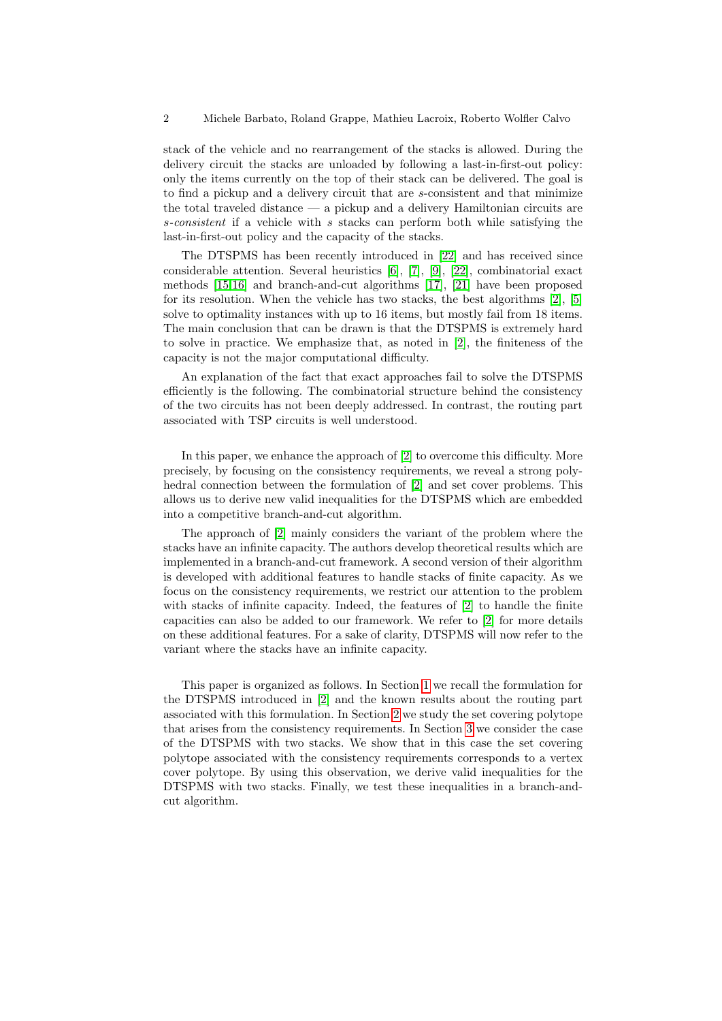stack of the vehicle and no rearrangement of the stacks is allowed. During the delivery circuit the stacks are unloaded by following a last-in-first-out policy: only the items currently on the top of their stack can be delivered. The goal is to find a pickup and a delivery circuit that are s-consistent and that minimize the total traveled distance — a pickup and a delivery Hamiltonian circuits are s-consistent if a vehicle with s stacks can perform both while satisfying the last-in-first-out policy and the capacity of the stacks.

The DTSPMS has been recently introduced in [\[22\]](#page-11-0) and has received since considerable attention. Several heuristics [\[6\]](#page-11-1), [\[7\]](#page-11-2), [\[9\]](#page-11-3), [\[22\]](#page-11-0), combinatorial exact methods [\[15,](#page-11-4)[16\]](#page-11-5) and branch-and-cut algorithms [\[17\]](#page-11-6), [\[21\]](#page-11-7) have been proposed for its resolution. When the vehicle has two stacks, the best algorithms [\[2\]](#page-9-1), [\[5\]](#page-11-8) solve to optimality instances with up to 16 items, but mostly fail from 18 items. The main conclusion that can be drawn is that the DTSPMS is extremely hard to solve in practice. We emphasize that, as noted in [\[2\]](#page-9-1), the finiteness of the capacity is not the major computational difficulty.

An explanation of the fact that exact approaches fail to solve the DTSPMS efficiently is the following. The combinatorial structure behind the consistency of the two circuits has not been deeply addressed. In contrast, the routing part associated with TSP circuits is well understood.

In this paper, we enhance the approach of [\[2\]](#page-9-1) to overcome this difficulty. More precisely, by focusing on the consistency requirements, we reveal a strong polyhedral connection between the formulation of [\[2\]](#page-9-1) and set cover problems. This allows us to derive new valid inequalities for the DTSPMS which are embedded into a competitive branch-and-cut algorithm.

The approach of [\[2\]](#page-9-1) mainly considers the variant of the problem where the stacks have an infinite capacity. The authors develop theoretical results which are implemented in a branch-and-cut framework. A second version of their algorithm is developed with additional features to handle stacks of finite capacity. As we focus on the consistency requirements, we restrict our attention to the problem with stacks of infinite capacity. Indeed, the features of [\[2\]](#page-9-1) to handle the finite capacities can also be added to our framework. We refer to [\[2\]](#page-9-1) for more details on these additional features. For a sake of clarity, DTSPMS will now refer to the variant where the stacks have an infinite capacity.

This paper is organized as follows. In Section [1](#page-2-0) we recall the formulation for the DTSPMS introduced in [\[2\]](#page-9-1) and the known results about the routing part associated with this formulation. In Section [2](#page-3-0) we study the set covering polytope that arises from the consistency requirements. In Section [3](#page-6-0) we consider the case of the DTSPMS with two stacks. We show that in this case the set covering polytope associated with the consistency requirements corresponds to a vertex cover polytope. By using this observation, we derive valid inequalities for the DTSPMS with two stacks. Finally, we test these inequalities in a branch-andcut algorithm.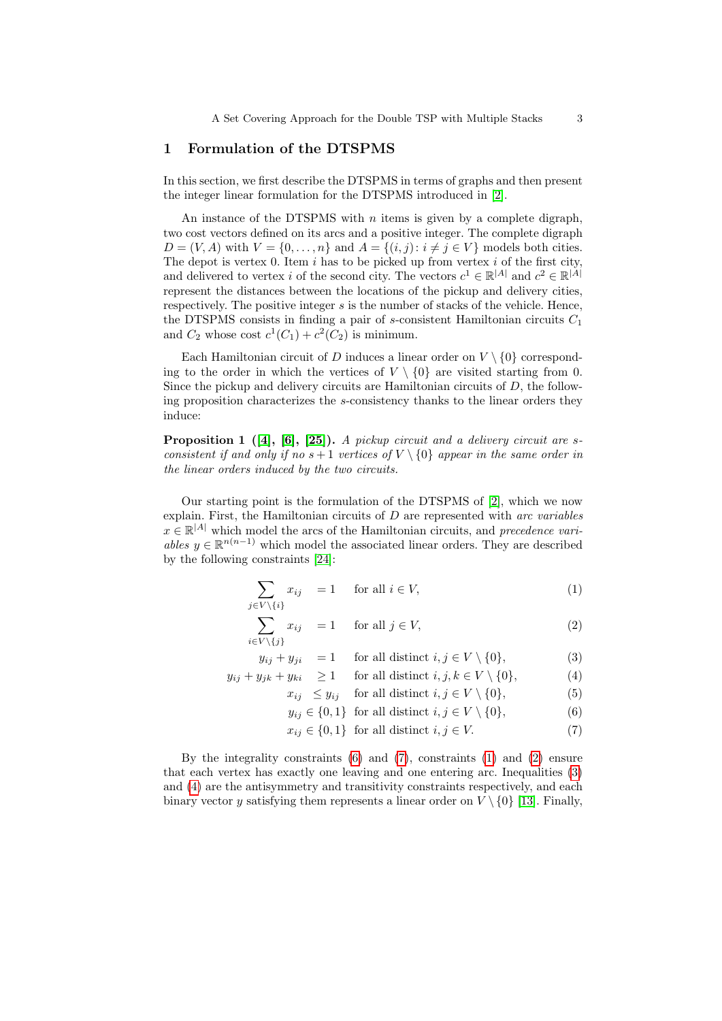# <span id="page-2-0"></span>1 Formulation of the DTSPMS

In this section, we first describe the DTSPMS in terms of graphs and then present the integer linear formulation for the DTSPMS introduced in [\[2\]](#page-9-1).

An instance of the DTSPMS with  $n$  items is given by a complete digraph, two cost vectors defined on its arcs and a positive integer. The complete digraph  $D = (V, A)$  with  $V = \{0, \ldots, n\}$  and  $A = \{(i, j): i \neq j \in V\}$  models both cities. The depot is vertex 0. Item i has to be picked up from vertex i of the first city, and delivered to vertex *i* of the second city. The vectors  $c^1 \in \mathbb{R}^{|A|}$  and  $c^2 \in \mathbb{R}^{|A|}$ represent the distances between the locations of the pickup and delivery cities, respectively. The positive integer  $s$  is the number of stacks of the vehicle. Hence, the DTSPMS consists in finding a pair of s-consistent Hamiltonian circuits  $C_1$ and  $C_2$  whose cost  $c^1(C_1) + c^2(C_2)$  is minimum.

Each Hamiltonian circuit of D induces a linear order on  $V \setminus \{0\}$  corresponding to the order in which the vertices of  $V \setminus \{0\}$  are visited starting from 0. Since the pickup and delivery circuits are Hamiltonian circuits of D, the following proposition characterizes the s-consistency thanks to the linear orders they induce:

<span id="page-2-2"></span>**Proposition 1** ([\[4\]](#page-11-9), [\[6\]](#page-11-1), [\[25\]](#page-12-0)). A pickup circuit and a delivery circuit are sconsistent if and only if no  $s+1$  vertices of  $V \setminus \{0\}$  appear in the same order in the linear orders induced by the two circuits.

Our starting point is the formulation of the DTSPMS of [\[2\]](#page-9-1), which we now explain. First, the Hamiltonian circuits of  $D$  are represented with arc variables  $x \in \mathbb{R}^{|A|}$  which model the arcs of the Hamiltonian circuits, and *precedence vari*ables  $y \in \mathbb{R}^{n(n-1)}$  which model the associated linear orders. They are described by the following constraints [\[24\]](#page-12-1):

<span id="page-2-1"></span>
$$
\sum_{j \in V \setminus \{i\}} x_{ij} = 1 \quad \text{for all } i \in V,
$$
\n(1)

$$
\sum_{i \in V \setminus \{j\}} x_{ij} = 1 \quad \text{for all } j \in V,
$$
\n(2)

$$
y_{ij} + y_{ji} = 1 \quad \text{for all distinct } i, j \in V \setminus \{0\}, \tag{3}
$$

$$
y_{ij} + y_{jk} + y_{ki} \ge 1 \quad \text{for all distinct } i, j, k \in V \setminus \{0\}, \tag{4}
$$

 $x_{ij} \leq y_{ij}$  for all distinct  $i, j \in V \setminus \{0\},$  (5)

$$
y_{ij} \in \{0, 1\} \text{ for all distinct } i, j \in V \setminus \{0\},\tag{6}
$$

 $x_{ij} \in \{0, 1\}$  for all distinct  $i, j \in V$ . (7)

By the integrality constraints  $(6)$  and  $(7)$ , constraints  $(1)$  and  $(2)$  ensure that each vertex has exactly one leaving and one entering arc. Inequalities [\(3\)](#page-2-1) and [\(4\)](#page-2-1) are the antisymmetry and transitivity constraints respectively, and each binary vector y satisfying them represents a linear order on  $V \setminus \{0\}$  [\[13\]](#page-11-10). Finally,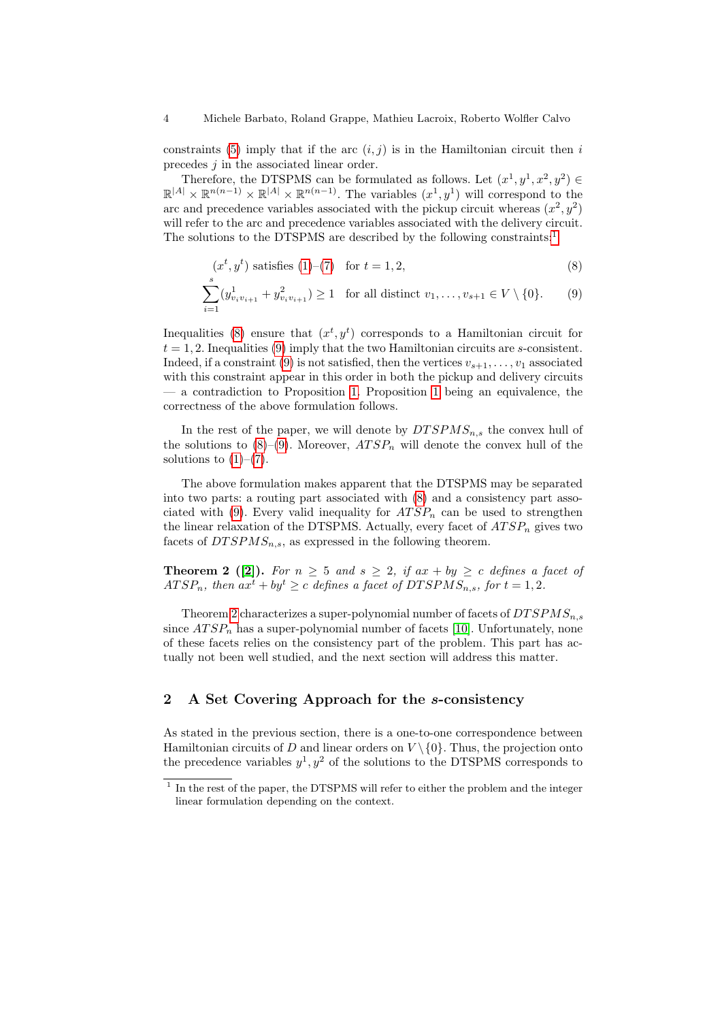constraints [\(5\)](#page-2-1) imply that if the arc  $(i, j)$  is in the Hamiltonian circuit then i precedes j in the associated linear order.

Therefore, the DTSPMS can be formulated as follows. Let  $(x^1, y^1, x^2, y^2) \in$  $\mathbb{R}^{|A|} \times \mathbb{R}^{n(n-1)} \times \mathbb{R}^{|A|} \times \mathbb{R}^{n(n-1)}$ . The variables  $(x^1, y^1)$  will correspond to the arc and precedence variables associated with the pickup circuit whereas  $(x^2, y^2)$ will refer to the arc and precedence variables associated with the delivery circuit. The solutions to the DTSPMS are described by the following constraints:<sup>[1](#page-3-1)</sup>

<span id="page-3-2"></span>
$$
(x^t, y^t)
$$
 satisfies (1)–(7) for  $t = 1, 2,$  (8)

$$
\sum_{i=1}^{s} (y_{v_i v_{i+1}}^1 + y_{v_i v_{i+1}}^2) \ge 1 \quad \text{for all distinct } v_1, \dots, v_{s+1} \in V \setminus \{0\}. \tag{9}
$$

Inequalities [\(8\)](#page-3-2) ensure that  $(x^t, y^t)$  corresponds to a Hamiltonian circuit for  $t = 1, 2$ . Inequalities [\(9\)](#page-3-2) imply that the two Hamiltonian circuits are s-consistent. Indeed, if a constraint [\(9\)](#page-3-2) is not satisfied, then the vertices  $v_{s+1}, \ldots, v_1$  associated with this constraint appear in this order in both the pickup and delivery circuits — a contradiction to Proposition [1.](#page-2-2) Proposition [1](#page-2-2) being an equivalence, the correctness of the above formulation follows.

In the rest of the paper, we will denote by  $DTSPMS_{n,s}$  the convex hull of the solutions to  $(8)-(9)$  $(8)-(9)$  $(8)-(9)$ . Moreover,  $ATSP_n$  will denote the convex hull of the solutions to  $(1)-(7)$  $(1)-(7)$  $(1)-(7)$ .

The above formulation makes apparent that the DTSPMS may be separated into two parts: a routing part associated with [\(8\)](#page-3-2) and a consistency part asso-ciated with [\(9\)](#page-3-2). Every valid inequality for  $ATSP_n$  can be used to strengthen the linear relaxation of the DTSPMS. Actually, every facet of  $ATSP_n$  gives two facets of  $DTSPMS_{n,s}$ , as expressed in the following theorem.

<span id="page-3-3"></span>**Theorem 2** ([\[2\]](#page-9-1)). For  $n \geq 5$  and  $s \geq 2$ , if  $ax + by \geq c$  defines a facet of  $ATSP_n$ , then  $ax^t + by^t \ge c$  defines a facet of  $DTSPMS_{n,s}$ , for  $t = 1, 2$ .

Theorem [2](#page-3-3) characterizes a super-polynomial number of facets of  $DTSPMS_{n,s}$ since  $ATSP_n$  has a super-polynomial number of facets [\[10\]](#page-11-11). Unfortunately, none of these facets relies on the consistency part of the problem. This part has actually not been well studied, and the next section will address this matter.

# <span id="page-3-0"></span>2 A Set Covering Approach for the s-consistency

As stated in the previous section, there is a one-to-one correspondence between Hamiltonian circuits of D and linear orders on  $V \setminus \{0\}$ . Thus, the projection onto the precedence variables  $y^1, y^2$  of the solutions to the DTSPMS corresponds to

<span id="page-3-1"></span><sup>&</sup>lt;sup>1</sup> In the rest of the paper, the DTSPMS will refer to either the problem and the integer linear formulation depending on the context.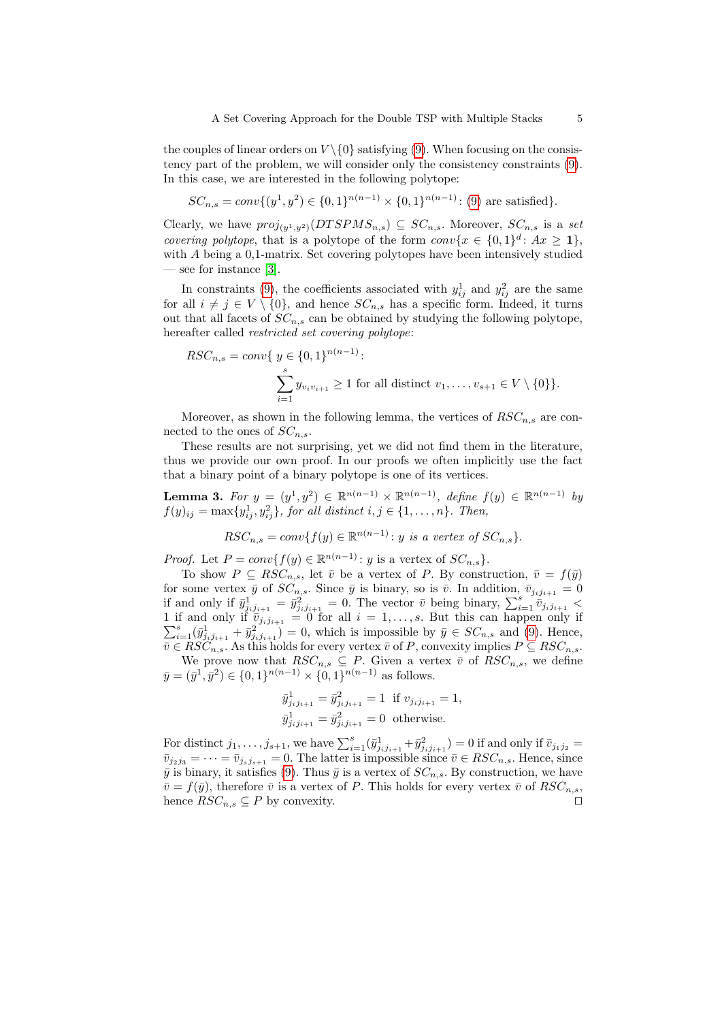the couples of linear orders on  $V \setminus \{0\}$  satisfying [\(9\)](#page-3-2). When focusing on the consistency part of the problem, we will consider only the consistency constraints [\(9\)](#page-3-2). In this case, we are interested in the following polytope:

$$
SC_{n,s} = conv\{(y^1, y^2) \in \{0, 1\}^{n(n-1)} \times \{0, 1\}^{n(n-1)} : (9) \text{ are satisfied}\}.
$$

Clearly, we have  $proj_{(y^1,y^2)}(DTSPMS_{n,s}) \subseteq SC_{n,s}$ . Moreover,  $SC_{n,s}$  is a set *covering polytope*, that is a polytope of the form  $conv\{x \in \{0,1\}^d : Ax \geq 1\}$ , with A being a 0,1-matrix. Set covering polytopes have been intensively studied see for instance [\[3\]](#page-9-2).

In constraints [\(9\)](#page-3-2), the coefficients associated with  $y_{ij}^1$  and  $y_{ij}^2$  are the same for all  $i \neq j \in V \setminus \{0\}$ , and hence  $SC_{n,s}$  has a specific form. Indeed, it turns out that all facets of  $SC_{n,s}$  can be obtained by studying the following polytope, hereafter called *restricted set covering polytope*:

$$
RSC_{n,s} = conv\{ y \in \{0,1\}^{n(n-1)} : \sum_{i=1}^{s} y_{v_i v_{i+1}} \ge 1 \text{ for all distinct } v_1, \dots, v_{s+1} \in V \setminus \{0\} \}.
$$

Moreover, as shown in the following lemma, the vertices of  $RSC_{n,s}$  are connected to the ones of  $SC_{n,s}$ .

These results are not surprising, yet we did not find them in the literature, thus we provide our own proof. In our proofs we often implicitly use the fact that a binary point of a binary polytope is one of its vertices.

<span id="page-4-0"></span>**Lemma 3.** For  $y = (y^1, y^2) \in \mathbb{R}^{n(n-1)} \times \mathbb{R}^{n(n-1)}$ , define  $f(y) \in \mathbb{R}^{n(n-1)}$  by  $f(y)_{ij} = \max\{y_{ij}^1, y_{ij}^2\}$ , for all distinct  $i, j \in \{1, ..., n\}$ . Then,

$$
RSC_{n,s} = conv{f(y) \in \mathbb{R}^{n(n-1)} : y \text{ is a vertex of } SC_{n,s}}.
$$

*Proof.* Let  $P = conv{f(y) \in \mathbb{R}^{n(n-1)} : y \text{ is a vertex of } SC_{n,s}}$ .

To show  $P \subseteq RSC_{n,s}$ , let  $\bar{v}$  be a vertex of P. By construction,  $\bar{v} = f(\bar{y})$ for some vertex  $\bar{y}$  of  $SC_{n,s}$ . Since  $\bar{y}$  is binary, so is  $\bar{v}$ . In addition,  $\bar{v}_{j_i j_{i+1}} = 0$ if and only if  $\bar{y}_{j_1j_{i+1}}^1 = \bar{y}_{j_1j_{i+1}}^2 = 0$ . The vector  $\bar{v}$  being binary,  $\sum_{i=1}^s \bar{v}_{j_1j_{i+1}}$  $\sum$ 1 if and only if  $\overline{v}_{j_i j_{i+1}} = 0$  for all  $i = 1, ..., s$ . But this can happen only if  $\sum_{i=1}^{s} (\overline{y}_{j_i j_{i+1}}^1 + \overline{y}_{j_i j_{i+1}}^2) = 0$ , which is impossible by  $\overline{y} \in SC_{n,s}$  and [\(9\)](#page-3-2). Hence,  $\bar{v} \in RSC_{n,s}$ . As this holds for every vertex  $\bar{v}$  of P, convexity implies  $P \subseteq RSC_{n,s}$ . We prove now that  $RSC_{n,s} \subseteq P$ . Given a vertex  $\bar{v}$  of  $RSC_{n,s}$ , we define  $\bar{y} = (\bar{y}^1, \bar{y}^2) \in \{0, 1\}^{n(n-1)} \times \{0, 1\}^{n(n-1)}$  as follows.

$$
\begin{aligned} \bar y_{j_ij_{i+1}}^1 &= \bar y_{j_ij_{i+1}}^2 = 1 \ \ \text{if} \ v_{j_ij_{i+1}} = 1, \\ \bar y_{j_ij_{i+1}}^1 &= \bar y_{j_ij_{i+1}}^2 = 0 \ \ \text{otherwise}. \end{aligned}
$$

For distinct  $j_1, \ldots, j_{s+1}$ , we have  $\sum_{i=1}^s (\bar{y}_{j_1j_{i+1}}^1 + \bar{y}_{j_1j_{i+1}}^2) = 0$  if and only if  $\bar{v}_{j_1j_2} =$  $\bar{v}_{j_2j_3} = \cdots = \bar{v}_{j_sj_{s+1}} = 0.$  The latter is impossible since  $\bar{v} \in RSC_{n,s}$ . Hence, since  $\bar{y}$  is binary, it satisfies [\(9\)](#page-3-2). Thus  $\bar{y}$  is a vertex of  $SC_{n,s}$ . By construction, we have  $\bar{v} = f(\bar{y})$ , therefore  $\bar{v}$  is a vertex of P. This holds for every vertex  $\bar{v}$  of  $RSC_{n,s}$ , hence  $RSC_{n,s} \subseteq P$  by convexity.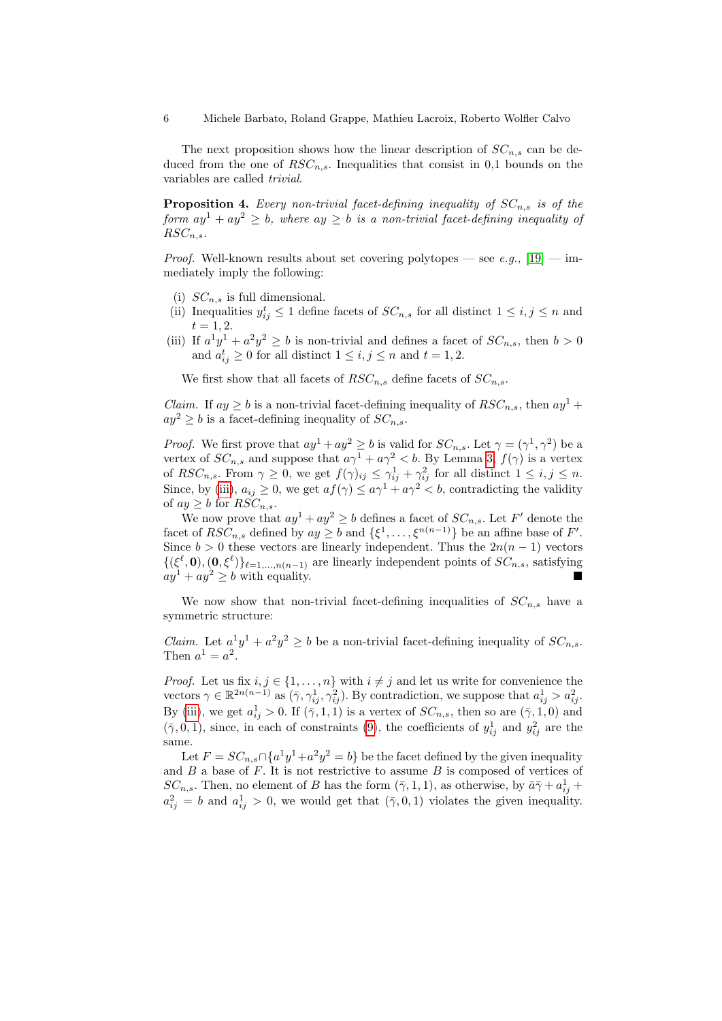6 Michele Barbato, Roland Grappe, Mathieu Lacroix, Roberto Wolfler Calvo

The next proposition shows how the linear description of  $SC_{n,s}$  can be deduced from the one of  $RSC_{n,s}$ . Inequalities that consist in 0,1 bounds on the variables are called trivial.

<span id="page-5-1"></span>**Proposition 4.** Every non-trivial facet-defining inequality of  $SC_{n,s}$  is of the form  $ay^1 + ay^2 \geq b$ , where  $ay \geq b$  is a non-trivial facet-defining inequality of  $RSC_{n,s}.$ 

*Proof.* Well-known results about set covering polytopes — see e.g.,  $[19]$  — immediately imply the following:

- (i)  $SC_{n,s}$  is full dimensional.
- (ii) Inequalities  $y_{ij}^t \leq 1$  define facets of  $SC_{n,s}$  for all distinct  $1 \leq i, j \leq n$  and  $t = 1, 2.$
- <span id="page-5-0"></span>(iii) If  $a^1y^1 + a^2y^2 \ge b$  is non-trivial and defines a facet of  $SC_{n,s}$ , then  $b > 0$ and  $a_{ij}^t \geq 0$  for all distinct  $1 \leq i, j \leq n$  and  $t = 1, 2$ .

We first show that all facets of  $RSC_{n,s}$  define facets of  $SC_{n,s}$ .

*Claim.* If  $ay \geq b$  is a non-trivial facet-defining inequality of  $RSC_{n,s}$ , then  $ay^1$  +  $ay^2 > b$  is a facet-defining inequality of  $SC_{n,s}$ .

*Proof.* We first prove that  $ay^1 + ay^2 \ge b$  is valid for  $SC_{n,s}$ . Let  $\gamma = (\gamma^1, \gamma^2)$  be a vertex of  $SC_{n,s}$  and suppose that  $a\gamma^{\overline{1}} + a\gamma^2 < b$ . By Lemma [3,](#page-4-0)  $f(\gamma)$  is a vertex of  $RSC_{n,s}$ . From  $\gamma \geq 0$ , we get  $f(\gamma)_{ij} \leq \gamma_{ij}^1 + \gamma_{ij}^2$  for all distinct  $1 \leq i, j \leq n$ . Since, by [\(iii\)](#page-5-0),  $a_{ij} \geq 0$ , we get  $af(\gamma) \leq a\gamma^{1} + a\gamma^{2} < b$ , contradicting the validity of  $ay \geq b$  for  $RSC_{n,s}$ .

We now prove that  $ay^1 + ay^2 \geq b$  defines a facet of  $SC_{n,s}$ . Let F' denote the facet of  $RSC_{n,s}$  defined by  $ay \ge b$  and  $\{\xi^1, \ldots, \xi^{n(n-1)}\}$  be an affine base of F'. Since  $b > 0$  these vectors are linearly independent. Thus the  $2n(n - 1)$  vectors  $\{(\xi^{\ell}, \mathbf{0}), (\mathbf{0}, \xi^{\ell})\}_{\ell=1,\ldots,n(n-1)}$  are linearly independent points of  $SC_{n,s}$ , satisfying  $ay^{1} + ay^{2} \geq b$  with equality.

We now show that non-trivial facet-defining inequalities of  $SC_{n,s}$  have a symmetric structure:

*Claim.* Let  $a^1y^1 + a^2y^2 \ge b$  be a non-trivial facet-defining inequality of  $SC_{n,s}$ . Then  $a^1 = a^2$ .

*Proof.* Let us fix  $i, j \in \{1, ..., n\}$  with  $i \neq j$  and let us write for convenience the vectors  $\gamma \in \mathbb{R}^{2n(n-1)}$  as  $(\bar{\gamma}, \gamma_{ij}^1, \gamma_{ij}^2)$ . By contradiction, we suppose that  $a_{ij}^1 > a_{ij}^2$ . By [\(iii\)](#page-5-0), we get  $a_{ij}^1 > 0$ . If  $(\bar{\gamma}, 1, 1)$  is a vertex of  $SC_{n,s}$ , then so are  $(\bar{\gamma}, 1, 0)$  and  $(\bar{\gamma}, 0, 1)$ , since, in each of constraints [\(9\)](#page-3-2), the coefficients of  $y_{ij}^1$  and  $y_{ij}^2$  are the same.

Let  $F = SC_{n,s} \cap \{a^1y^1 + a^2y^2 = b\}$  be the facet defined by the given inequality and  $B$  a base of  $F$ . It is not restrictive to assume  $B$  is composed of vertices of  $SC_{n,s}$ . Then, no element of B has the form  $(\bar{\gamma}, 1, 1)$ , as otherwise, by  $\bar{a}\bar{\gamma} + a_{ij}^1 +$  $a_{ij}^2 = b$  and  $a_{ij}^1 > 0$ , we would get that  $(\bar{\gamma}, 0, 1)$  violates the given inequality.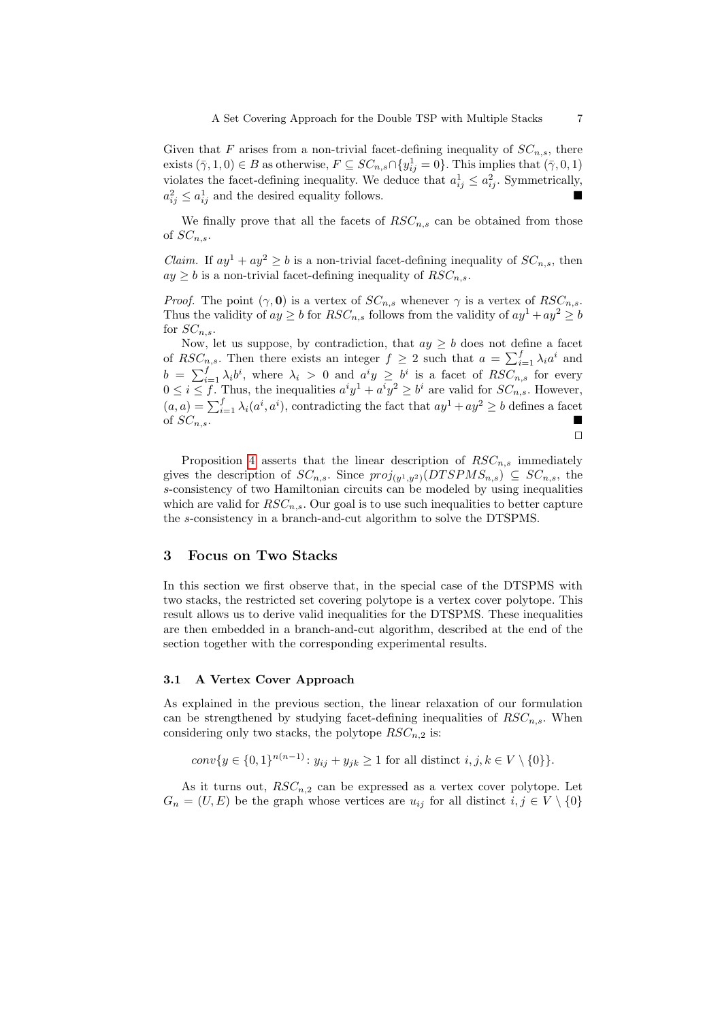Given that F arises from a non-trivial facet-defining inequality of  $SC_{n,s}$ , there exists  $(7,1,0) \in B$  as otherwise,  $F \subseteq SC_{n,s} \cap \{y_{ij}^1 = 0\}$ . This implies that  $(7,0,1)$ violates the facet-defining inequality. We deduce that  $a_{ij}^1 \leq a_{ij}^2$ . Symmetrically,  $a_{ij}^2 \leq a_{ij}^1$  and the desired equality follows.

We finally prove that all the facets of  $RSC_{n,s}$  can be obtained from those of  $SC_{n,s}$ .

*Claim.* If  $ay^1 + ay^2 \ge b$  is a non-trivial facet-defining inequality of  $SC_{n,s}$ , then  $ay \ge b$  is a non-trivial facet-defining inequality of  $RSC_{n,s}$ .

*Proof.* The point  $(\gamma, 0)$  is a vertex of  $SC_{n,s}$  whenever  $\gamma$  is a vertex of  $RSC_{n,s}$ . Thus the validity of  $ay \geq b$  for  $RSC_{n,s}$  follows from the validity of  $ay^1 + ay^2 \geq b$ for  $SC_{n,s}$ .

Now, let us suppose, by contradiction, that  $ay \geq b$  does not define a facet of  $RSC_{n,s}$ . Then there exists an integer  $f \geq 2$  such that  $a = \sum_{i=1}^{f} \lambda_i a^i$  and  $b = \sum_{i=1}^{f} \lambda_i b^i$ , where  $\lambda_i > 0$  and  $a^i y \geq b^i$  is a facet of  $RSC_{n,s}$  for every  $0 \leq i \leq f$ . Thus, the inequalities  $a^i y^1 + a^i y^2 \geq b^i$  are valid for  $SC_{n,s}$ . However,  $(a, a) = \sum_{i=1}^{f} \lambda_i(a^i, a^i)$ , contradicting the fact that  $ay^1 + ay^2 \ge b$  defines a facet of  $SC_{n,s}$ .

$$
\qquad \qquad \Box
$$

Proposition [4](#page-5-1) asserts that the linear description of  $RSC_{n,s}$  immediately gives the description of  $SC_{n,s}$ . Since  $proj_{(y^1,y^2)}(DTSPMS_{n,s}) \subseteq SC_{n,s}$ , the s-consistency of two Hamiltonian circuits can be modeled by using inequalities which are valid for  $RSC_{n,s}$ . Our goal is to use such inequalities to better capture the s-consistency in a branch-and-cut algorithm to solve the DTSPMS.

## <span id="page-6-0"></span>3 Focus on Two Stacks

In this section we first observe that, in the special case of the DTSPMS with two stacks, the restricted set covering polytope is a vertex cover polytope. This result allows us to derive valid inequalities for the DTSPMS. These inequalities are then embedded in a branch-and-cut algorithm, described at the end of the section together with the corresponding experimental results.

#### 3.1 A Vertex Cover Approach

As explained in the previous section, the linear relaxation of our formulation can be strengthened by studying facet-defining inequalities of  $RSC_{n,s}$ . When considering only two stacks, the polytope  $RSC_{n,2}$  is:

$$
conv\{y \in \{0,1\}^{n(n-1)} : y_{ij} + y_{jk} \ge 1 \text{ for all distinct } i, j, k \in V \setminus \{0\}\}.
$$

As it turns out,  $RSC_{n,2}$  can be expressed as a vertex cover polytope. Let  $G_n = (U, E)$  be the graph whose vertices are  $u_{ij}$  for all distinct  $i, j \in V \setminus \{0\}$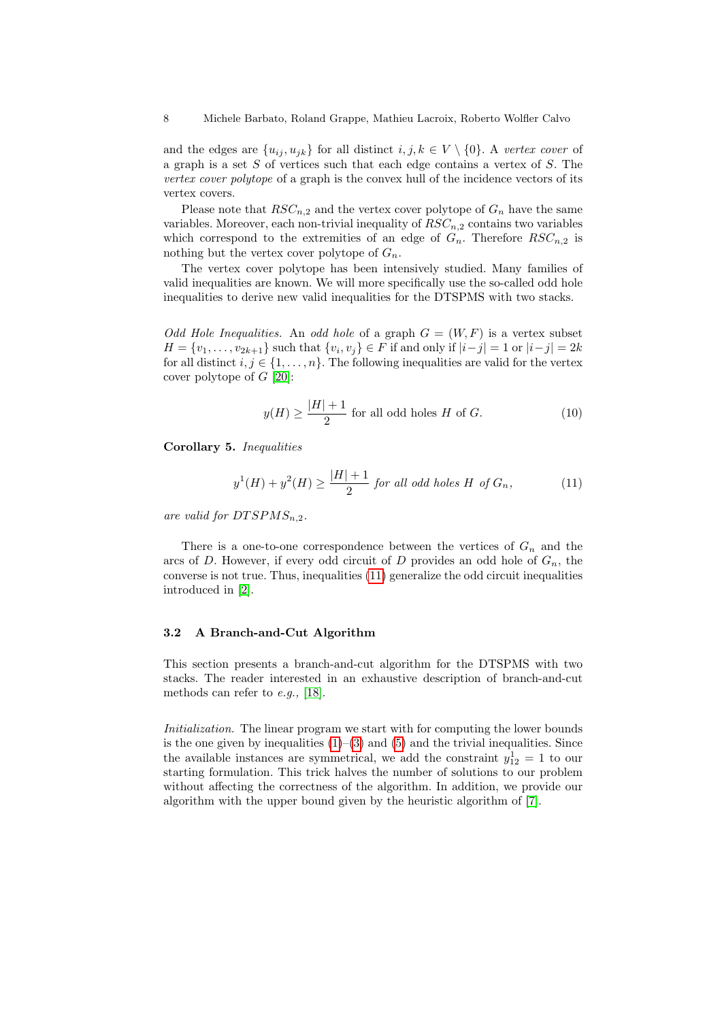and the edges are  $\{u_{ij}, u_{jk}\}\$  for all distinct  $i, j, k \in V \setminus \{0\}$ . A vertex cover of a graph is a set  $S$  of vertices such that each edge contains a vertex of  $S$ . The vertex cover polytope of a graph is the convex hull of the incidence vectors of its vertex covers.

Please note that  $RSC_{n,2}$  and the vertex cover polytope of  $G_n$  have the same variables. Moreover, each non-trivial inequality of  $RSC_{n,2}$  contains two variables which correspond to the extremities of an edge of  $G_n$ . Therefore  $RSC_{n,2}$  is nothing but the vertex cover polytope of  $G_n$ .

The vertex cover polytope has been intensively studied. Many families of valid inequalities are known. We will more specifically use the so-called odd hole inequalities to derive new valid inequalities for the DTSPMS with two stacks.

Odd Hole Inequalities. An odd hole of a graph  $G = (W, F)$  is a vertex subset  $H = \{v_1, \ldots, v_{2k+1}\}\$  such that  $\{v_i, v_j\} \in F$  if and only if  $|i - j| = 1$  or  $|i - j| = 2k$ for all distinct  $i, j \in \{1, \ldots, n\}$ . The following inequalities are valid for the vertex cover polytope of  $G$  [\[20\]](#page-11-13):

$$
y(H) \ge \frac{|H|+1}{2} \text{ for all odd holes } H \text{ of } G. \tag{10}
$$

Corollary 5. Inequalities

<span id="page-7-0"></span>
$$
y^{1}(H) + y^{2}(H) \ge \frac{|H|+1}{2} \text{ for all odd holes } H \text{ of } G_n,
$$
 (11)

are valid for  $DTSPMS_{n,2}$ .

There is a one-to-one correspondence between the vertices of  $G_n$  and the arcs of D. However, if every odd circuit of D provides an odd hole of  $G_n$ , the converse is not true. Thus, inequalities [\(11\)](#page-7-0) generalize the odd circuit inequalities introduced in [\[2\]](#page-9-1).

## 3.2 A Branch-and-Cut Algorithm

This section presents a branch-and-cut algorithm for the DTSPMS with two stacks. The reader interested in an exhaustive description of branch-and-cut methods can refer to e.g., [\[18\]](#page-11-14).

Initialization. The linear program we start with for computing the lower bounds is the one given by inequalities  $(1)$ – $(3)$  and  $(5)$  and the trivial inequalities. Since the available instances are symmetrical, we add the constraint  $y_{12}^1 = 1$  to our starting formulation. This trick halves the number of solutions to our problem without affecting the correctness of the algorithm. In addition, we provide our algorithm with the upper bound given by the heuristic algorithm of [\[7\]](#page-11-2).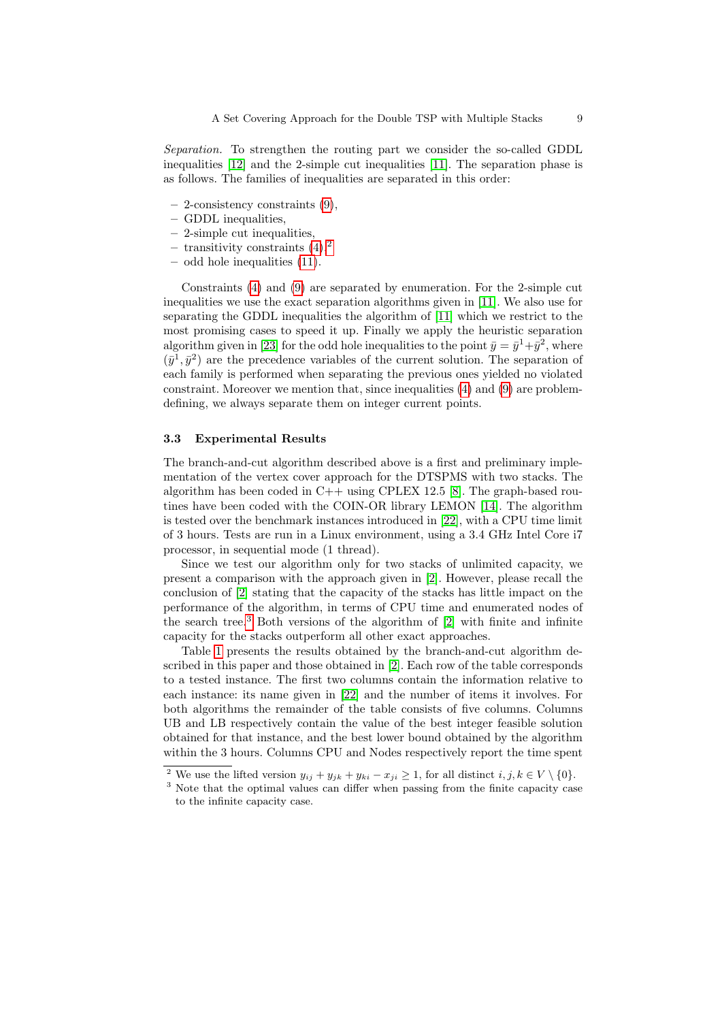Separation. To strengthen the routing part we consider the so-called GDDL inequalities [\[12\]](#page-11-15) and the 2-simple cut inequalities [\[11\]](#page-11-16). The separation phase is as follows. The families of inequalities are separated in this order:

- 2-consistency constraints [\(9\)](#page-3-2),
- GDDL inequalities,
- 2-simple cut inequalities,
- transitivity constraints  $(4)$ ,<sup>[2](#page-8-0)</sup>
- odd hole inequalities [\(11\)](#page-7-0).

Constraints [\(4\)](#page-2-1) and [\(9\)](#page-3-2) are separated by enumeration. For the 2-simple cut inequalities we use the exact separation algorithms given in [\[11\]](#page-11-16). We also use for separating the GDDL inequalities the algorithm of [\[11\]](#page-11-16) which we restrict to the most promising cases to speed it up. Finally we apply the heuristic separation algorithm given in [\[23\]](#page-12-2) for the odd hole inequalities to the point  $\bar{y} = \bar{y}^1 + \bar{y}^2$ , where  $(\bar{y}^1, \bar{y}^2)$  are the precedence variables of the current solution. The separation of each family is performed when separating the previous ones yielded no violated constraint. Moreover we mention that, since inequalities [\(4\)](#page-2-1) and [\(9\)](#page-3-2) are problemdefining, we always separate them on integer current points.

### 3.3 Experimental Results

The branch-and-cut algorithm described above is a first and preliminary implementation of the vertex cover approach for the DTSPMS with two stacks. The algorithm has been coded in  $C++$  using CPLEX 12.5 [\[8\]](#page-11-17). The graph-based routines have been coded with the COIN-OR library LEMON [\[14\]](#page-11-18). The algorithm is tested over the benchmark instances introduced in [\[22\]](#page-11-0), with a CPU time limit of 3 hours. Tests are run in a Linux environment, using a 3.4 GHz Intel Core i7 processor, in sequential mode (1 thread).

Since we test our algorithm only for two stacks of unlimited capacity, we present a comparison with the approach given in [\[2\]](#page-9-1). However, please recall the conclusion of [\[2\]](#page-9-1) stating that the capacity of the stacks has little impact on the performance of the algorithm, in terms of CPU time and enumerated nodes of the search tree.<sup>[3](#page-8-1)</sup> Both versions of the algorithm of  $[2]$  with finite and infinite capacity for the stacks outperform all other exact approaches.

Table [1](#page-10-0) presents the results obtained by the branch-and-cut algorithm described in this paper and those obtained in [\[2\]](#page-9-1). Each row of the table corresponds to a tested instance. The first two columns contain the information relative to each instance: its name given in [\[22\]](#page-11-0) and the number of items it involves. For both algorithms the remainder of the table consists of five columns. Columns UB and LB respectively contain the value of the best integer feasible solution obtained for that instance, and the best lower bound obtained by the algorithm within the 3 hours. Columns CPU and Nodes respectively report the time spent

<span id="page-8-0"></span><sup>&</sup>lt;sup>2</sup> We use the lifted version  $y_{ij} + y_{jk} + y_{ki} - x_{ji} \ge 1$ , for all distinct  $i, j, k \in V \setminus \{0\}$ .

<span id="page-8-1"></span><sup>&</sup>lt;sup>3</sup> Note that the optimal values can differ when passing from the finite capacity case to the infinite capacity case.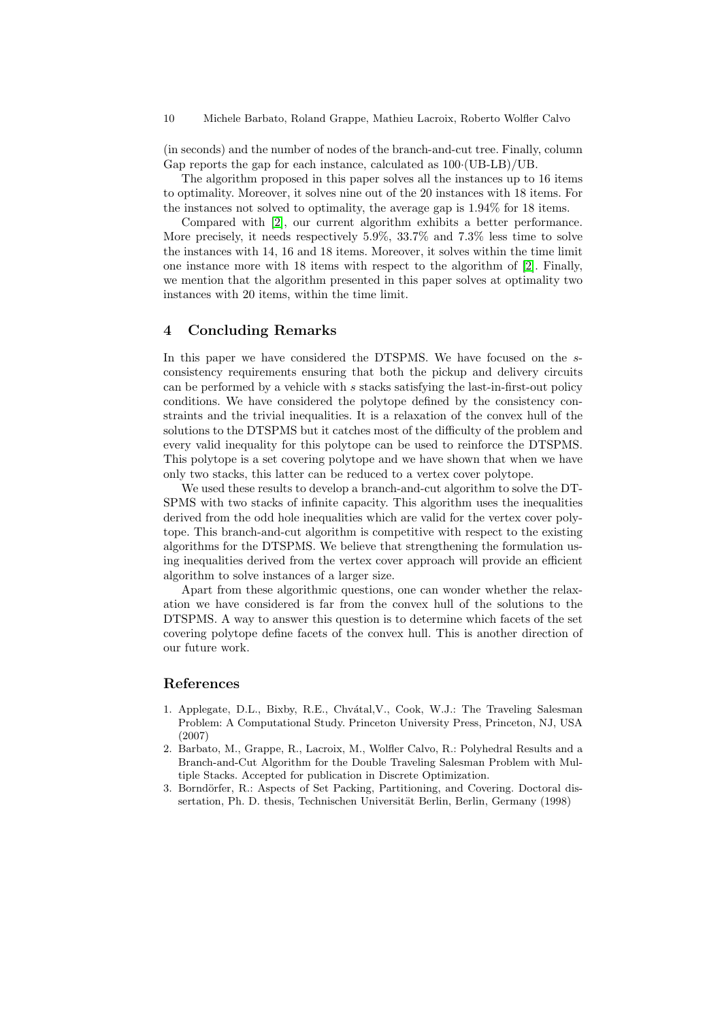10 Michele Barbato, Roland Grappe, Mathieu Lacroix, Roberto Wolfler Calvo

(in seconds) and the number of nodes of the branch-and-cut tree. Finally, column Gap reports the gap for each instance, calculated as 100·(UB-LB)/UB.

The algorithm proposed in this paper solves all the instances up to 16 items to optimality. Moreover, it solves nine out of the 20 instances with 18 items. For the instances not solved to optimality, the average gap is 1.94% for 18 items.

Compared with [\[2\]](#page-9-1), our current algorithm exhibits a better performance. More precisely, it needs respectively 5.9%, 33.7% and 7.3% less time to solve the instances with 14, 16 and 18 items. Moreover, it solves within the time limit one instance more with 18 items with respect to the algorithm of [\[2\]](#page-9-1). Finally, we mention that the algorithm presented in this paper solves at optimality two instances with 20 items, within the time limit.

## 4 Concluding Remarks

In this paper we have considered the DTSPMS. We have focused on the sconsistency requirements ensuring that both the pickup and delivery circuits can be performed by a vehicle with s stacks satisfying the last-in-first-out policy conditions. We have considered the polytope defined by the consistency constraints and the trivial inequalities. It is a relaxation of the convex hull of the solutions to the DTSPMS but it catches most of the difficulty of the problem and every valid inequality for this polytope can be used to reinforce the DTSPMS. This polytope is a set covering polytope and we have shown that when we have only two stacks, this latter can be reduced to a vertex cover polytope.

We used these results to develop a branch-and-cut algorithm to solve the DT-SPMS with two stacks of infinite capacity. This algorithm uses the inequalities derived from the odd hole inequalities which are valid for the vertex cover polytope. This branch-and-cut algorithm is competitive with respect to the existing algorithms for the DTSPMS. We believe that strengthening the formulation using inequalities derived from the vertex cover approach will provide an efficient algorithm to solve instances of a larger size.

Apart from these algorithmic questions, one can wonder whether the relaxation we have considered is far from the convex hull of the solutions to the DTSPMS. A way to answer this question is to determine which facets of the set covering polytope define facets of the convex hull. This is another direction of our future work.

## References

- <span id="page-9-0"></span>1. Applegate, D.L., Bixby, R.E., Chvátal,V., Cook, W.J.: The Traveling Salesman Problem: A Computational Study. Princeton University Press, Princeton, NJ, USA (2007)
- <span id="page-9-1"></span>2. Barbato, M., Grappe, R., Lacroix, M., Wolfler Calvo, R.: Polyhedral Results and a Branch-and-Cut Algorithm for the Double Traveling Salesman Problem with Multiple Stacks. Accepted for publication in Discrete Optimization.
- <span id="page-9-2"></span>3. Borndörfer, R.: Aspects of Set Packing, Partitioning, and Covering. Doctoral dissertation, Ph. D. thesis, Technischen Universität Berlin, Berlin, Germany (1998)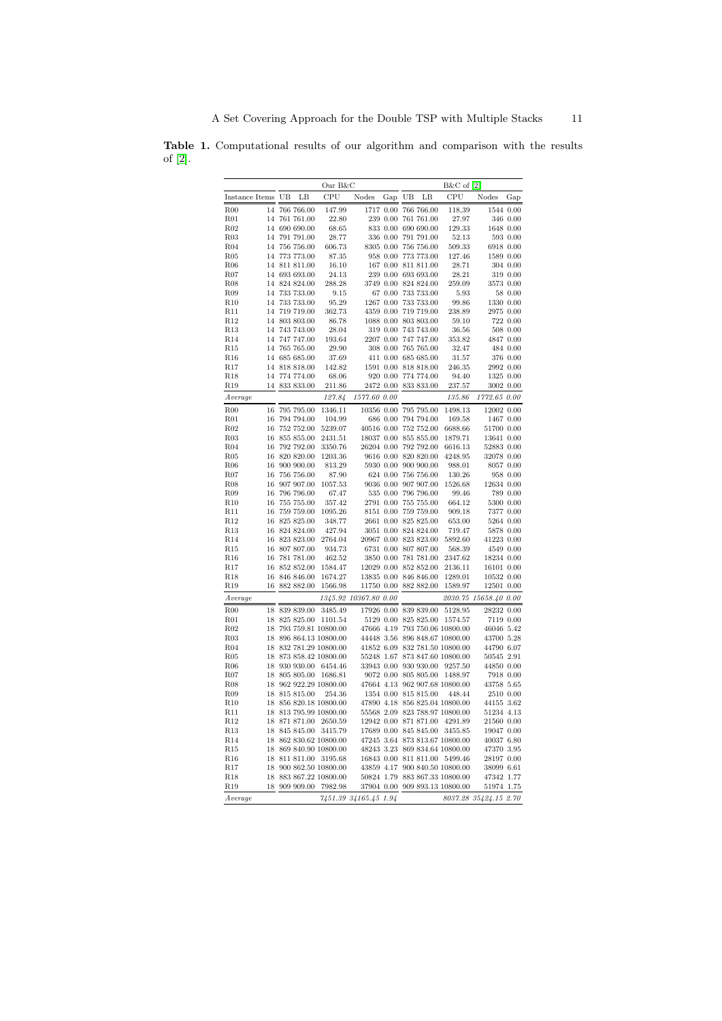Table 1. Computational results of our algorithm and comparison with the results of [\[2\]](#page-9-1).

<span id="page-10-0"></span>

|                               | Our B&C  |  |                          |                                            |                       |        | B&C of [2] |                                              |                                           |                          |                       |
|-------------------------------|----------|--|--------------------------|--------------------------------------------|-----------------------|--------|------------|----------------------------------------------|-------------------------------------------|--------------------------|-----------------------|
| Instance Items UB             |          |  | LB                       | <b>CPU</b>                                 | Nodes                 | Gap UB |            | LB                                           | <b>CPU</b>                                | Nodes                    | Gap                   |
| $_{\rm R00}$                  | 14       |  | 766 766.00               | 147.99                                     |                       |        |            | 1717 0.00 766 766.00                         | 118,39                                    |                          | 1544 0.00             |
| R01                           | 14       |  | 761 761.00               | 22.80                                      |                       |        |            | 239 0.00 761 761.00                          | 27.97                                     |                          | 346 0.00              |
| R02                           | 14       |  | 690 690.00               | 68.65                                      |                       |        |            | 833 0.00 690 690.00                          | 129.33                                    |                          | 1648 0.00             |
| R03                           | 14       |  | 791 791.00               | 28.77                                      |                       |        |            | 336 0.00 791 791.00                          | 52.13                                     |                          | 593 0.00              |
| R04                           | 14       |  | 756 756.00               | 606.73                                     |                       |        |            | 8305 0.00 756 756.00                         | 509.33                                    | 6918 0.00                |                       |
| $_{\rm R05}$                  | 14       |  | 773 773.00               | 87.35                                      |                       |        |            | 958 0.00 773 773.00                          | 127.46                                    |                          | 1589 0.00             |
| <b>R06</b>                    | 14       |  | 811 811.00               | 16.10                                      |                       |        |            | 167 0.00 811 811.00                          | 28.71                                     |                          | 304 0.00              |
| R <sub>07</sub><br><b>R08</b> | 14<br>14 |  | 693 693.00<br>824 824.00 | 24.13<br>288.28                            |                       |        |            | 239 0.00 693 693.00<br>3749 0.00 824 824.00  | 28.21<br>259.09                           |                          | 319 0.00<br>3573 0.00 |
| <b>R09</b>                    | 14       |  | 733 733.00               | 9.15                                       |                       |        |            | 67 0.00 733 733.00                           | 5.93                                      |                          | 58 0.00               |
| R10                           | 14       |  | 733 733.00               | 95.29                                      |                       |        |            | 1267 0.00 733 733.00                         | 99.86                                     | 1330 0.00                |                       |
| R11                           | 14       |  | 719 719.00               | 362.73                                     |                       |        |            | 4359 0.00 719 719.00                         | 238.89                                    | 2975 0.00                |                       |
| R12                           | 14       |  | 803 803.00               | 86.78                                      |                       |        |            | 1088 0.00 803 803.00                         | 59.10                                     |                          | 722 0.00              |
| <b>R13</b>                    | 14       |  | 743 743.00               | 28.04                                      |                       |        |            | 319 0.00 743 743.00                          | 36.56                                     |                          | 508 0.00              |
| R14                           | 14       |  | 747 747.00               | 193.64                                     |                       |        |            | 2207 0.00 747 747.00                         | 353.82                                    |                          | 4847 0.00             |
| R15                           | 14       |  | 765 765.00               | 29.90                                      |                       |        |            | 308 0.00 765 765.00                          | 32.47                                     |                          | 484 0.00              |
| R16                           | 14       |  | 685 685.00               | 37.69                                      |                       |        |            | 411 0.00 685 685.00                          | 31.57                                     |                          | 376 0.00              |
| R <sub>17</sub>               |          |  | 14 818 818.00            | 142.82                                     |                       |        |            | 1591 0.00 818 818.00                         | 246.35                                    | 2992 0.00                |                       |
| <b>R18</b>                    | 14       |  | 774 774.00               | 68.06                                      |                       |        |            | 920 0.00 774 774.00                          | 94.40                                     | 1325 0.00                |                       |
| R <sub>19</sub>               |          |  | 14 833 833.00            | 211.86<br>127.84                           | 1577.60 0.00          |        |            | 2472 0.00 833 833.00                         | 237.57<br>135.86                          | 1772.65 0.00             | 3002 0.00             |
| Average<br>R <sub>00</sub>    | 16       |  | 795 795.00               | 1346.11                                    |                       |        |            | 10356 0.00 795 795.00                        | 1498.13                                   | 12002 0.00               |                       |
| R01                           | 16       |  | 794 794.00               | 104.99                                     |                       |        |            | 686 0.00 794 794.00                          | 169.58                                    |                          | 1467 0.00             |
| R02                           | 16       |  | 752 752.00               | 5239.07                                    |                       |        |            | 40516 0.00 752 752.00                        | 6688.66                                   | 51700 0.00               |                       |
| R03                           | 16       |  | 855 855.00               | 2431.51                                    |                       |        |            | 18037 0.00 855 855.00                        | 1879.71                                   | 13641 0.00               |                       |
| R04                           | 16       |  | 792 792.00               | 3350.76                                    |                       |        |            | 26204 0.00 792 792.00                        | 6616.13                                   | 52883 0.00               |                       |
| R05                           | 16       |  | 820 820.00               | 1203.36                                    |                       |        |            | 9616 0.00 820 820.00                         | 4248.95                                   | 32078 0.00               |                       |
| $_{\rm R06}$                  | 16       |  | 900 900.00               | 813.29                                     |                       |        |            | 5930 0.00 900 900.00                         | 988.01                                    | 8057 0.00                |                       |
| <b>R07</b>                    | 16       |  | 756 756.00               | 87.90                                      |                       |        |            | 624 0.00 756 756.00                          | 130.26                                    |                          | 958 0.00              |
| <b>R08</b>                    | 16       |  | 907 907.00               | 1057.53                                    |                       |        |            | 9036 0.00 907 907.00                         | 1526.68                                   | 12634 0.00               |                       |
| R <sub>09</sub>               | 16       |  | 796 796.00               | 67.47                                      |                       |        |            | 535 0.00 796 796.00                          | 99.46                                     |                          | 789 0.00              |
| R10                           | 16       |  | 755 755.00               | 357.42                                     |                       |        |            | 2791 0.00 755 755.00                         | 664.12                                    | 5300 0.00                |                       |
| R11                           | 16       |  | 759 759.00<br>825 825.00 | 1095.26                                    |                       |        |            | 8151 0.00 759 759.00<br>2661 0.00 825 825.00 | 909.18                                    | 7377 0.00                |                       |
| R12<br>R <sub>13</sub>        | 16<br>16 |  | 824 824.00               | 348.77<br>427.94                           |                       |        |            | 3051 0.00 824 824.00                         | 653.00<br>719.47                          | 5264 0.00<br>5878 0.00   |                       |
| R <sub>14</sub>               | 16       |  | 823 823.00               | 2764.04                                    |                       |        |            | 20967 0.00 823 823.00                        | 5892.60                                   | 41223 0.00               |                       |
| R15                           | 16       |  | 807 807.00               | 934.73                                     |                       |        |            | 6731 0.00 807 807.00                         | 568.39                                    |                          | 4549 0.00             |
| R16                           | 16       |  | 781 781.00               | 462.52                                     |                       |        |            | 3850 0.00 781 781.00                         | 2347.62                                   | 18234 0.00               |                       |
| R17                           | 16       |  | 852 852.00               | 1584.47                                    |                       |        |            | 12029 0.00 852 852.00                        | 2136.11                                   | 16101 0.00               |                       |
| <b>R18</b>                    | 16       |  | 846 846.00               | 1674.27                                    |                       |        |            | 13835 0.00 846 846.00                        | 1289.01                                   | 10532 0.00               |                       |
| R <sub>19</sub>               | 16       |  | 882 882.00               | 1566.98                                    |                       |        |            | 11750 0.00 882 882.00                        | 1589.97                                   | 12501 0.00               |                       |
| Average                       |          |  |                          |                                            | 1345.92 10367.80 0.00 |        |            |                                              |                                           | 2030.75 15658.40 0.00    |                       |
| $_{\rm R00}$                  | 18       |  | 839 839.00               | 3485.49                                    |                       |        |            | 17926 0.00 839 839.00                        | 5128.95                                   | 28232 0.00               |                       |
| R01                           | 18       |  | 825 825.00               | 1101.54                                    |                       |        |            | 5129 0.00 825 825.00                         | 1574.57                                   | 7119 0.00                |                       |
| R02                           | 18       |  |                          | 793 759.81 10800.00                        |                       |        |            |                                              | 47666 4.19 793 750.06 10800.00            | 46046 5.42               |                       |
| <b>R03</b>                    | 18<br>18 |  |                          | 896 864.13 10800.00                        |                       |        |            |                                              | 44448 3.56 896 848.67 10800.00            | 43700 5.28               |                       |
| R04                           | 18       |  |                          | 832 781.29 10800.00<br>873 858.42 10800.00 |                       |        |            |                                              | 41852 6.09 832 781.50 10800.00            | 44790 6.07               |                       |
| R05<br><b>R06</b>             | 18       |  | 930 930.00               | 6454.46                                    |                       |        |            | 33943 0.00 930 930.00                        | 55248 1.67 873 847.60 10800.00<br>9257.50 | 50545 2.91<br>44850 0.00 |                       |
| R07                           | 18       |  | 805 805.00               | 1686.81                                    |                       |        |            | 9072 0.00 805 805.00                         | 1488.97                                   | 7918 0.00                |                       |
| <b>R08</b>                    | 18       |  |                          | 962 922.29 10800.00                        |                       |        |            |                                              | 47664 4.13 962 907.68 10800.00            | 43758 5.65               |                       |
| <b>R09</b>                    | 18       |  | 815 815.00               | 254.36                                     |                       |        |            | 1354 0.00 815 815.00                         | 448.44                                    | 2510 0.00                |                       |
| R10                           | 18       |  |                          | 856 820.18 10800.00                        |                       |        |            |                                              | 47890 4.18 856 825.04 10800.00            | 44155 3.62               |                       |
| R11                           | 18       |  |                          | 813 795.99 10800.00                        |                       |        |            |                                              | 55568 2.09 823 788.97 10800.00            | 51234 4.13               |                       |
| R12                           | 18       |  | 871 871.00               | 2650.59                                    |                       |        |            | 12942 0.00 871 871.00                        | 4291.89                                   | 21560 0.00               |                       |
| R13                           | 18       |  | 845 845.00               | 3415.79                                    |                       |        |            | 17689 0.00 845 845.00                        | 3455.85                                   | 19047 0.00               |                       |
| <b>R14</b>                    | 18       |  |                          | 862 830.62 10800.00                        |                       |        |            |                                              | 47245 3.64 873 813.67 10800.00            | 40037 6.80               |                       |
| R15                           | 18       |  |                          | 869 840.90 10800.00                        | 48243 3.23            |        |            |                                              | 869 834.64 10800.00                       | 47370 3.95               |                       |
| <b>R16</b>                    | 18       |  | 811 811.00               | 3195.68                                    |                       |        |            | 16843 0.00 811 811.00                        | 5499.46                                   | 28197 0.00               |                       |
| R17                           | 18       |  |                          | 900 862.50 10800.00                        | 43859 4.17            |        |            |                                              | 900 840.50 10800.00                       | 38099 6.61               |                       |
| <b>R18</b>                    | 18       |  | 18 909 909.00            | 883 867.22 10800.00<br>7982.98             | 50824 1.79            |        |            |                                              | 883 867.33 10800.00                       | 47342 1.77<br>51974 1.75 |                       |
| R <sub>19</sub>               |          |  |                          |                                            |                       |        |            |                                              | 37904 0.00 909 893.13 10800.00            |                          |                       |
| Average                       |          |  |                          |                                            | 7451.39 34165.45 1.94 |        |            |                                              |                                           | 8037.28 35424.15 2.70    |                       |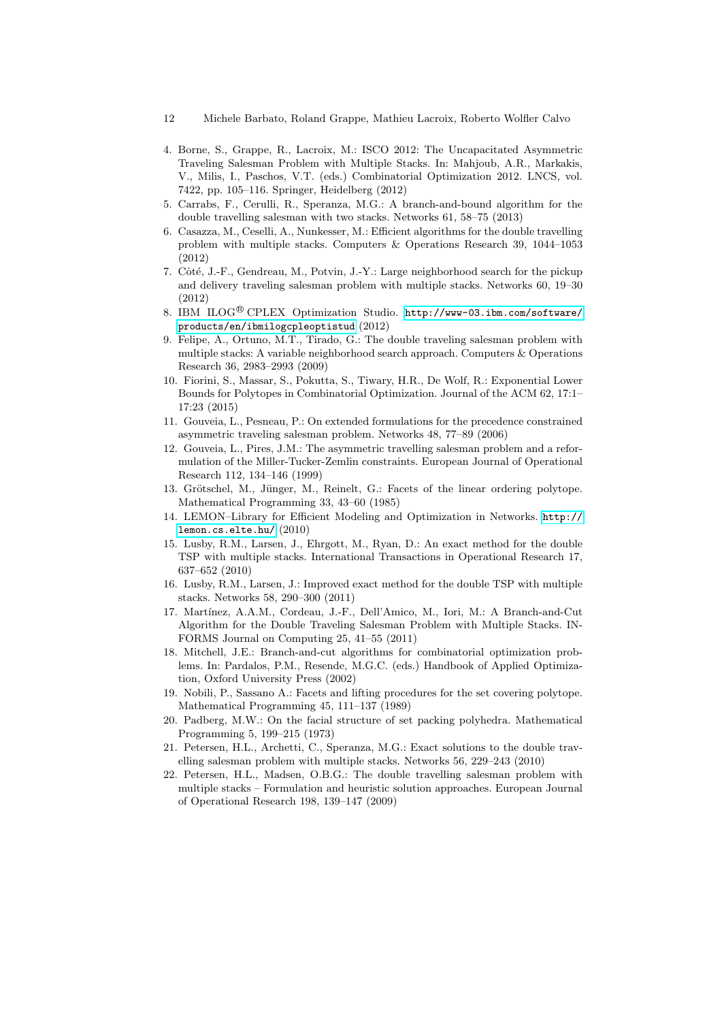- 12 Michele Barbato, Roland Grappe, Mathieu Lacroix, Roberto Wolfler Calvo
- <span id="page-11-9"></span>4. Borne, S., Grappe, R., Lacroix, M.: ISCO 2012: The Uncapacitated Asymmetric Traveling Salesman Problem with Multiple Stacks. In: Mahjoub, A.R., Markakis, V., Milis, I., Paschos, V.T. (eds.) Combinatorial Optimization 2012. LNCS, vol. 7422, pp. 105–116. Springer, Heidelberg (2012)
- <span id="page-11-8"></span>5. Carrabs, F., Cerulli, R., Speranza, M.G.: A branch-and-bound algorithm for the double travelling salesman with two stacks. Networks 61, 58–75 (2013)
- <span id="page-11-1"></span>6. Casazza, M., Ceselli, A., Nunkesser, M.: Efficient algorithms for the double travelling problem with multiple stacks. Computers & Operations Research 39, 1044–1053 (2012)
- <span id="page-11-2"></span>7. Côté, J.-F., Gendreau, M., Potvin, J.-Y.: Large neighborhood search for the pickup and delivery traveling salesman problem with multiple stacks. Networks 60, 19–30 (2012)
- <span id="page-11-17"></span>8. IBM ILOG<sup>®</sup> CPLEX Optimization Studio. [http://www-03.ibm.com/software/](http://www-03.ibm.com/software/products/en/ibmilogcpleoptistud) [products/en/ibmilogcpleoptistud](http://www-03.ibm.com/software/products/en/ibmilogcpleoptistud) (2012)
- <span id="page-11-3"></span>9. Felipe, A., Ortuno, M.T., Tirado, G.: The double traveling salesman problem with multiple stacks: A variable neighborhood search approach. Computers & Operations Research 36, 2983–2993 (2009)
- <span id="page-11-11"></span>10. Fiorini, S., Massar, S., Pokutta, S., Tiwary, H.R., De Wolf, R.: Exponential Lower Bounds for Polytopes in Combinatorial Optimization. Journal of the ACM 62, 17:1– 17:23 (2015)
- <span id="page-11-16"></span>11. Gouveia, L., Pesneau, P.: On extended formulations for the precedence constrained asymmetric traveling salesman problem. Networks 48, 77–89 (2006)
- <span id="page-11-15"></span>12. Gouveia, L., Pires, J.M.: The asymmetric travelling salesman problem and a reformulation of the Miller-Tucker-Zemlin constraints. European Journal of Operational Research 112, 134–146 (1999)
- <span id="page-11-10"></span>13. Grötschel, M., Jünger, M., Reinelt, G.: Facets of the linear ordering polytope. Mathematical Programming 33, 43–60 (1985)
- <span id="page-11-18"></span>14. LEMON–Library for Efficient Modeling and Optimization in Networks. [http://](http://lemon.cs.elte.hu/) [lemon.cs.elte.hu/](http://lemon.cs.elte.hu/) (2010)
- <span id="page-11-4"></span>15. Lusby, R.M., Larsen, J., Ehrgott, M., Ryan, D.: An exact method for the double TSP with multiple stacks. International Transactions in Operational Research 17, 637–652 (2010)
- <span id="page-11-5"></span>16. Lusby, R.M., Larsen, J.: Improved exact method for the double TSP with multiple stacks. Networks 58, 290–300 (2011)
- <span id="page-11-6"></span>17. Martínez, A.A.M., Cordeau, J.-F., Dell'Amico, M., Iori, M.: A Branch-and-Cut Algorithm for the Double Traveling Salesman Problem with Multiple Stacks. IN-FORMS Journal on Computing 25, 41–55 (2011)
- <span id="page-11-14"></span>18. Mitchell, J.E.: Branch-and-cut algorithms for combinatorial optimization problems. In: Pardalos, P.M., Resende, M.G.C. (eds.) Handbook of Applied Optimization, Oxford University Press (2002)
- <span id="page-11-12"></span>19. Nobili, P., Sassano A.: Facets and lifting procedures for the set covering polytope. Mathematical Programming 45, 111–137 (1989)
- <span id="page-11-13"></span>20. Padberg, M.W.: On the facial structure of set packing polyhedra. Mathematical Programming 5, 199–215 (1973)
- <span id="page-11-7"></span>21. Petersen, H.L., Archetti, C., Speranza, M.G.: Exact solutions to the double travelling salesman problem with multiple stacks. Networks 56, 229–243 (2010)
- <span id="page-11-0"></span>22. Petersen, H.L., Madsen, O.B.G.: The double travelling salesman problem with multiple stacks – Formulation and heuristic solution approaches. European Journal of Operational Research 198, 139–147 (2009)